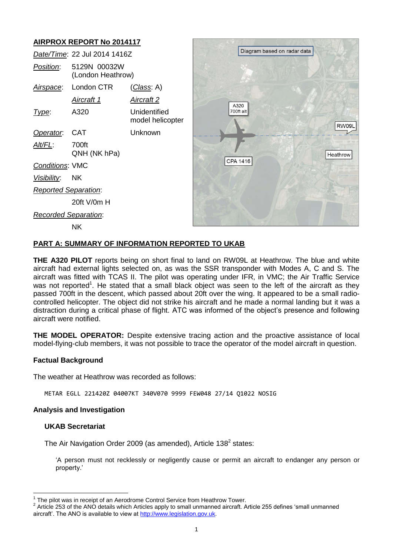# **AIRPROX REPORT No 2014117**

|                             | Date/Time: 22 Jul 2014 1416Z      |                                  |
|-----------------------------|-----------------------------------|----------------------------------|
| <i>Position</i> :           | 5129N 00032W<br>(London Heathrow) |                                  |
|                             | Airspace: London CTR              | <u>(Class</u> : A)               |
|                             | Aircraft 1                        | <u>Aircraft 2</u>                |
| Type:                       | A320                              | Unidentified<br>model helicopter |
| Operator. CAT               |                                   | Unknown                          |
| Alt/FL:                     | 700ft<br>QNH (NK hPa)             |                                  |
| <b>Conditions: VMC</b>      |                                   |                                  |
| <u>Visibility:</u> NK       |                                   |                                  |
| <b>Reported Separation:</b> |                                   |                                  |
|                             | 20ft V/0m H                       |                                  |
| <b>Recorded Separation:</b> |                                   |                                  |
|                             | ΝK                                |                                  |



## **PART A: SUMMARY OF INFORMATION REPORTED TO UKAB**

**THE A320 PILOT** reports being on short final to land on RW09L at Heathrow. The blue and white aircraft had external lights selected on, as was the SSR transponder with Modes A, C and S. The aircraft was fitted with TCAS II. The pilot was operating under IFR, in VMC; the Air Traffic Service was not reported<sup>1</sup>. He stated that a small black object was seen to the left of the aircraft as they passed 700ft in the descent, which passed about 20ft over the wing. It appeared to be a small radiocontrolled helicopter. The object did not strike his aircraft and he made a normal landing but it was a distraction during a critical phase of flight. ATC was informed of the object's presence and following aircraft were notified.

**THE MODEL OPERATOR:** Despite extensive tracing action and the proactive assistance of local model-flying-club members, it was not possible to trace the operator of the model aircraft in question.

## **Factual Background**

The weather at Heathrow was recorded as follows:

METAR EGLL 221420Z 04007KT 340V070 9999 FEW048 27/14 Q1022 NOSIG

## **Analysis and Investigation**

## **UKAB Secretariat**

The Air Navigation Order 2009 (as amended), Article 138<sup>2</sup> states:

'A person must not recklessly or negligently cause or permit an aircraft to endanger any person or property.'

The pilot was in receipt of an Aerodrome Control Service from Heathrow Tower.

 $2$  Article 253 of the ANO details which Articles apply to small unmanned aircraft. Article 255 defines 'small unmanned aircraft'. The ANO is available to view at [http://www.legislation.gov.uk.](http://www.legislation.gov.uk/)